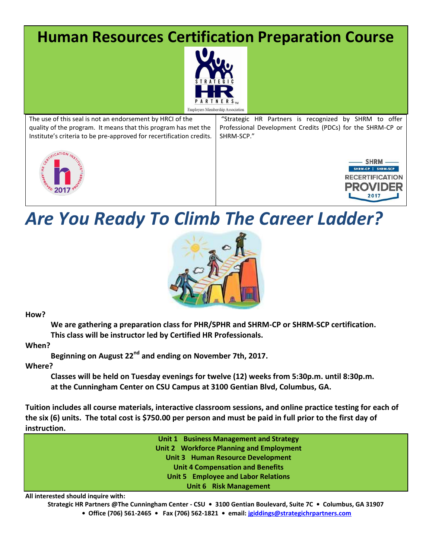## **Human Resources Certification Preparation Course**



**Employers Membership Association** The use of this seal is not an endorsement by HRCI of the "Strategic HR Partners is recognized by SHRM to offer quality of the program. It means that this program has met the Professional Development Credits (PDCs) for the SHRM-CP or Institute's criteria to be pre-approved for recertification credits. SHRM-SCP." **SHRM** SHRM-CP | SHRM-SCP **RECERTIFICATION PROVIDER** 

## *Are You Ready To Climb The Career Ladder?*



**How?** 

**We are gathering a preparation class for PHR/SPHR and SHRM-CP or SHRM-SCP certification. This class will be instructor led by Certified HR Professionals.**

**When?**

**Beginning on August 22nd and ending on November 7th, 2017.**

**Where?** 

**Classes will be held on Tuesday evenings for twelve (12) weeks from 5:30p.m. until 8:30p.m. at the Cunningham Center on CSU Campus at 3100 Gentian Blvd, Columbus, GA.**

**Tuition includes all course materials, interactive classroom sessions, and online practice testing for each of the six (6) units. The total cost is \$750.00 per person and must be paid in full prior to the first day of instruction.** 

**Unit 1 Business Management and Strategy Unit 2 Workforce Planning and Employment Unit 3 Human Resource Development Unit 4 Compensation and Benefits Unit 5 Employee and Labor Relations Unit 6 Risk Management**

**All interested should inquire with:** 

**Strategic HR Partners @The Cunningham Center - CSU • 3100 Gentian Boulevard, Suite 7C • Columbus, GA 31907**

**• Office (706) 561-2465 • Fax (706) 562-1821 • email: [jgiddings@strategichrpartners.com](mailto:jgiddings@strategichrpartners.com)**